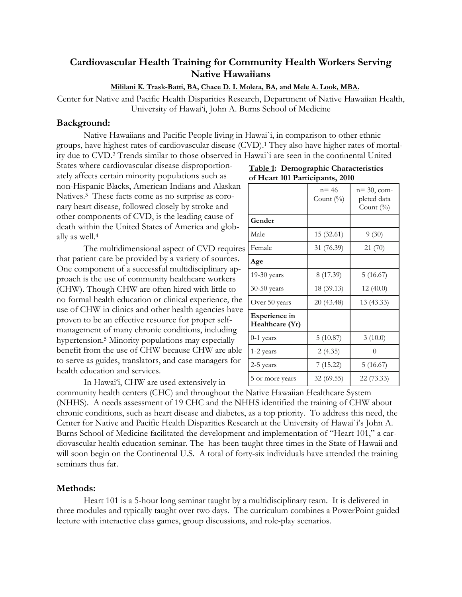# **Cardiovascular Health Training for Community Health Workers Serving Native Hawaiians**

## **Mililani K. Trask-Batti, BA, Chace D. I. Moleta, BA, and Mele A. Look, MBA.**

Center for Native and Pacific Health Disparities Research, Department of Native Hawaiian Health, University of Hawai'i, John A. Burns School of Medicine

### **Background:**

 Native Hawaiians and Pacific People living in Hawai`i, in comparison to other ethnic groups, have highest rates of cardiovascular disease (CVD).1 They also have higher rates of mortality due to CVD.2 Trends similar to those observed in Hawai`i are seen in the continental United

States where cardiovascular disease disproportionately affects certain minority populations such as non-Hispanic Blacks, American Indians and Alaskan Natives.3 These facts come as no surprise as coronary heart disease, followed closely by stroke and other components of CVD, is the leading cause of death within the United States of America and globally as well.4

The multidimensional aspect of CVD requires that patient care be provided by a variety of sources. One component of a successful multidisciplinary approach is the use of community healthcare workers (CHW). Though CHW are often hired with little to no formal health education or clinical experience, the use of CHW in clinics and other health agencies have proven to be an effective resource for proper selfmanagement of many chronic conditions, including hypertension.5 Minority populations may especially benefit from the use of CHW because CHW are able to serve as guides, translators, and case managers for health education and services.

In Hawai'i, CHW are used extensively in

|                                         | $n = 46$<br>Count $(\%)$ | $n = 30$ , com-<br>pleted data<br>Count $(\% )$ |
|-----------------------------------------|--------------------------|-------------------------------------------------|
| Gender                                  |                          |                                                 |
| Male                                    | 15 (32.61)               | 9(30)                                           |
| Female                                  | 31 (76.39)               | 21(70)                                          |
| Age                                     |                          |                                                 |
| 19-30 years                             | 8 (17.39)                | 5 (16.67)                                       |
| 30-50 years                             | 18 (39.13)               | 12(40.0)                                        |
| Over 50 years                           | 20 (43.48)               | 13 (43.33)                                      |
| <b>Experience in</b><br>Healthcare (Yr) |                          |                                                 |
| $0-1$ years                             | 5(10.87)                 | 3(10.0)                                         |
| 1-2 years                               | 2(4.35)                  | 0                                               |
| 2-5 years                               | 7(15.22)                 | 5 (16.67)                                       |
| 5 or more years                         | 32 (69.55)               | 22 (73.33)                                      |

**Table 1: Demographic Characteristics of Heart 101 Participants, 2010** 

community health centers (CHC) and throughout the Native Hawaiian Healthcare System (NHHS). A needs assessment of 19 CHC and the NHHS identified the training of CHW about chronic conditions, such as heart disease and diabetes, as a top priority. To address this need, the Center for Native and Pacific Health Disparities Research at the University of Hawai`i's John A. Burns School of Medicine facilitated the development and implementation of "Heart 101," a cardiovascular health education seminar. The has been taught three times in the State of Hawaii and will soon begin on the Continental U.S. A total of forty-six individuals have attended the training seminars thus far.

# **Methods:**

Heart 101 is a 5-hour long seminar taught by a multidisciplinary team. It is delivered in three modules and typically taught over two days. The curriculum combines a PowerPoint guided lecture with interactive class games, group discussions, and role-play scenarios.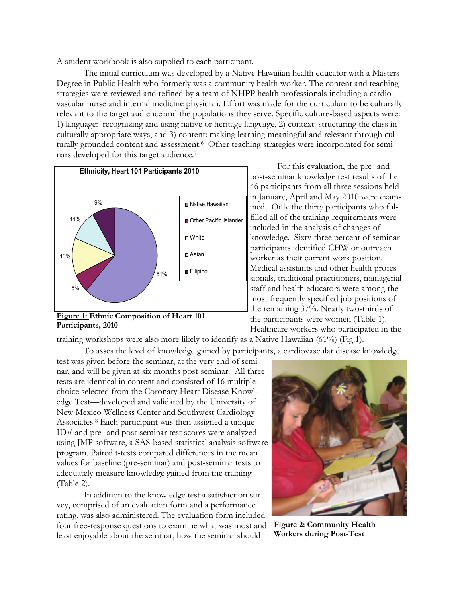A student workbook is also supplied to each participant.

 The initial curriculum was developed by a Native Hawaiian health educator with a Masters Degree in Public Health who formerly was a community health worker. The content and teaching strategies were reviewed and refined by a team of NHPP health professionals including a cardiovascular nurse and internal medicine physician. Effort was made for the curriculum to be culturally relevant to the target audience and the populations they serve. Specific culture-based aspects were: 1) language: recognizing and using native or heritage language, 2) context: structuring the class in culturally appropriate ways, and 3) content: making learning meaningful and relevant through culturally grounded content and assessment.6 Other teaching strategies were incorporated for seminars developed for this target audience.7



**Figure 1: Ethnic Composition of Heart 101 Participants, 2010** 

 For this evaluation, the pre- and post-seminar knowledge test results of the 46 participants from all three sessions held in January, April and May 2010 were examined. Only the thirty participants who fulfilled all of the training requirements were included in the analysis of changes of knowledge. Sixty-three percent of seminar participants identified CHW or outreach worker as their current work position. Medical assistants and other health professionals, traditional practitioners, managerial staff and health educators were among the most frequently specified job positions of the remaining 37%. Nearly two-thirds of the participants were women (Table 1). Healthcare workers who participated in the

training workshops were also more likely to identify as a Native Hawaiian (61%) (Fig.1).

To asses the level of knowledge gained by participants, a cardiovascular disease knowledge

test was given before the seminar, at the very end of seminar, and will be given at six months post-seminar. All three tests are identical in content and consisted of 16 multiplechoice selected from the Coronary Heart Disease Knowledge Test—developed and validated by the University of New Mexico Wellness Center and Southwest Cardiology Associates.8 Each participant was then assigned a unique ID# and pre- and post-seminar test scores were analyzed using JMP software, a SAS-based statistical analysis software program. Paired t-tests compared differences in the mean values for baseline (pre-seminar) and post-seminar tests to adequately measure knowledge gained from the training (Table 2).

 In addition to the knowledge test a satisfaction survey, comprised of an evaluation form and a performance rating, was also administered. The evaluation form included four free-response questions to examine what was most and least enjoyable about the seminar, how the seminar should



**Figure 2: Community Health Workers during Post-Test**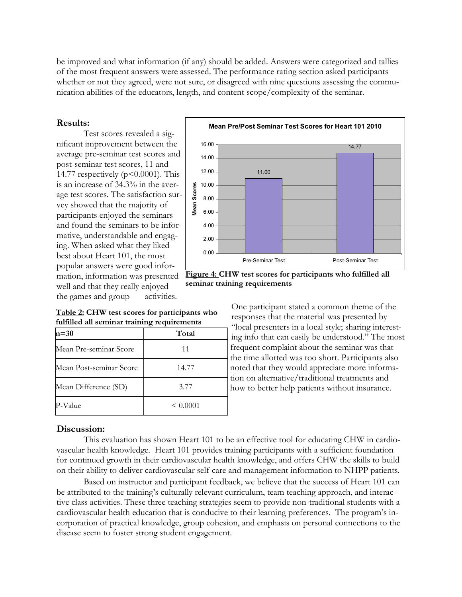be improved and what information (if any) should be added. Answers were categorized and tallies of the most frequent answers were assessed. The performance rating section asked participants whether or not they agreed, were not sure, or disagreed with nine questions assessing the communication abilities of the educators, length, and content scope/complexity of the seminar.

## **Results:**

Test scores revealed a significant improvement between the average pre-seminar test scores and post-seminar test scores, 11 and 14.77 respectively ( $p \le 0.0001$ ). This is an increase of 34.3% in the average test scores. The satisfaction survey showed that the majority of participants enjoyed the seminars and found the seminars to be informative, understandable and engaging. When asked what they liked best about Heart 101, the most popular answers were good information, information was presented well and that they really enjoyed the games and group activities.

**Table 2: CHW test scores for participants who fulfilled all seminar training requirements**

| $n=30$                  | Total         |
|-------------------------|---------------|
| Mean Pre-seminar Score  | 11            |
| Mean Post-seminar Score | 14.77         |
| Mean Difference (SD)    | 3.77          |
| P-Value                 | $\leq 0.0001$ |



**Figure 4: CHW test scores for participants who fulfilled all seminar training requirements** 

One participant stated a common theme of the responses that the material was presented by "local presenters in a local style; sharing interesting info that can easily be understood." The most frequent complaint about the seminar was that the time allotted was too short. Participants also noted that they would appreciate more information on alternative/traditional treatments and how to better help patients without insurance.

# **Discussion:**

 This evaluation has shown Heart 101 to be an effective tool for educating CHW in cardiovascular health knowledge. Heart 101 provides training participants with a sufficient foundation for continued growth in their cardiovascular health knowledge, and offers CHW the skills to build on their ability to deliver cardiovascular self-care and management information to NHPP patients.

 Based on instructor and participant feedback, we believe that the success of Heart 101 can be attributed to the training's culturally relevant curriculum, team teaching approach, and interactive class activities. These three teaching strategies seem to provide non-traditional students with a cardiovascular health education that is conducive to their learning preferences. The program's incorporation of practical knowledge, group cohesion, and emphasis on personal connections to the disease seem to foster strong student engagement.